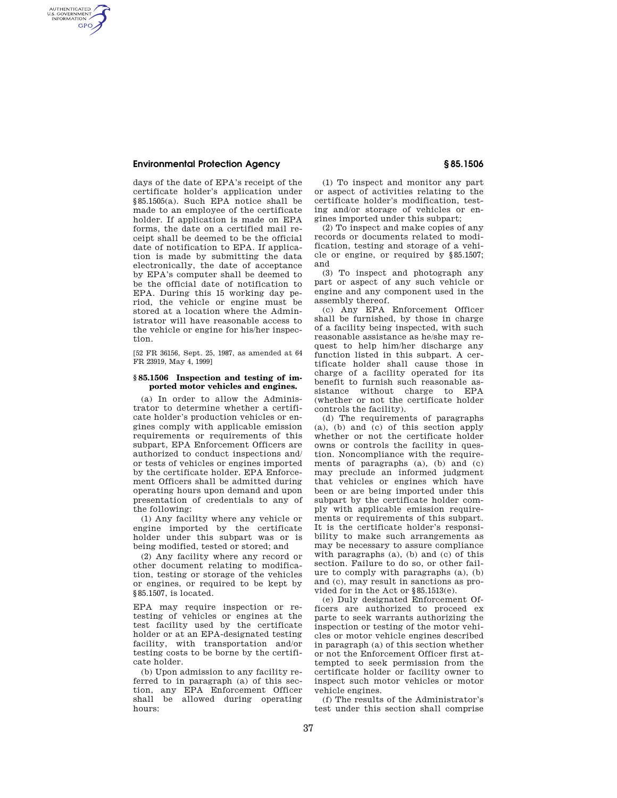## **Environmental Protection Agency § 85.1506**

AUTHENTICATED<br>U.S. GOVERNMENT<br>INFORMATION **GPO** 

> days of the date of EPA's receipt of the certificate holder's application under §85.1505(a). Such EPA notice shall be made to an employee of the certificate holder. If application is made on EPA forms, the date on a certified mail receipt shall be deemed to be the official date of notification to EPA. If application is made by submitting the data electronically, the date of acceptance by EPA's computer shall be deemed to be the official date of notification to EPA. During this 15 working day period, the vehicle or engine must be stored at a location where the Administrator will have reasonable access to the vehicle or engine for his/her inspection.

[52 FR 36156, Sept. 25, 1987, as amended at 64 FR 23919, May 4, 1999]

## **§ 85.1506 Inspection and testing of imported motor vehicles and engines.**

(a) In order to allow the Administrator to determine whether a certificate holder's production vehicles or engines comply with applicable emission requirements or requirements of this subpart, EPA Enforcement Officers are authorized to conduct inspections and/ or tests of vehicles or engines imported by the certificate holder. EPA Enforcement Officers shall be admitted during operating hours upon demand and upon presentation of credentials to any of the following:

(1) Any facility where any vehicle or engine imported by the certificate holder under this subpart was or is being modified, tested or stored; and

(2) Any facility where any record or other document relating to modification, testing or storage of the vehicles or engines, or required to be kept by §85.1507, is located.

EPA may require inspection or retesting of vehicles or engines at the test facility used by the certificate holder or at an EPA-designated testing facility, with transportation and/or testing costs to be borne by the certificate holder.

(b) Upon admission to any facility referred to in paragraph (a) of this section, any EPA Enforcement Officer shall be allowed during operating hours:

(1) To inspect and monitor any part or aspect of activities relating to the certificate holder's modification, testing and/or storage of vehicles or engines imported under this subpart;

(2) To inspect and make copies of any records or documents related to modification, testing and storage of a vehicle or engine, or required by §85.1507; and

(3) To inspect and photograph any part or aspect of any such vehicle or engine and any component used in the assembly thereof.

(c) Any EPA Enforcement Officer shall be furnished, by those in charge of a facility being inspected, with such reasonable assistance as he/she may request to help him/her discharge any function listed in this subpart. A certificate holder shall cause those in charge of a facility operated for its benefit to furnish such reasonable assistance without charge to EPA (whether or not the certificate holder controls the facility).

(d) The requirements of paragraphs (a), (b) and (c) of this section apply whether or not the certificate holder owns or controls the facility in question. Noncompliance with the requirements of paragraphs (a), (b) and (c) may preclude an informed judgment that vehicles or engines which have been or are being imported under this subpart by the certificate holder comply with applicable emission requirements or requirements of this subpart. It is the certificate holder's responsibility to make such arrangements as may be necessary to assure compliance with paragraphs (a), (b) and (c) of this section. Failure to do so, or other failure to comply with paragraphs (a), (b) and (c), may result in sanctions as provided for in the Act or §85.1513(e).

(e) Duly designated Enforcement Officers are authorized to proceed ex parte to seek warrants authorizing the inspection or testing of the motor vehicles or motor vehicle engines described in paragraph (a) of this section whether or not the Enforcement Officer first attempted to seek permission from the certificate holder or facility owner to inspect such motor vehicles or motor vehicle engines.

(f) The results of the Administrator's test under this section shall comprise